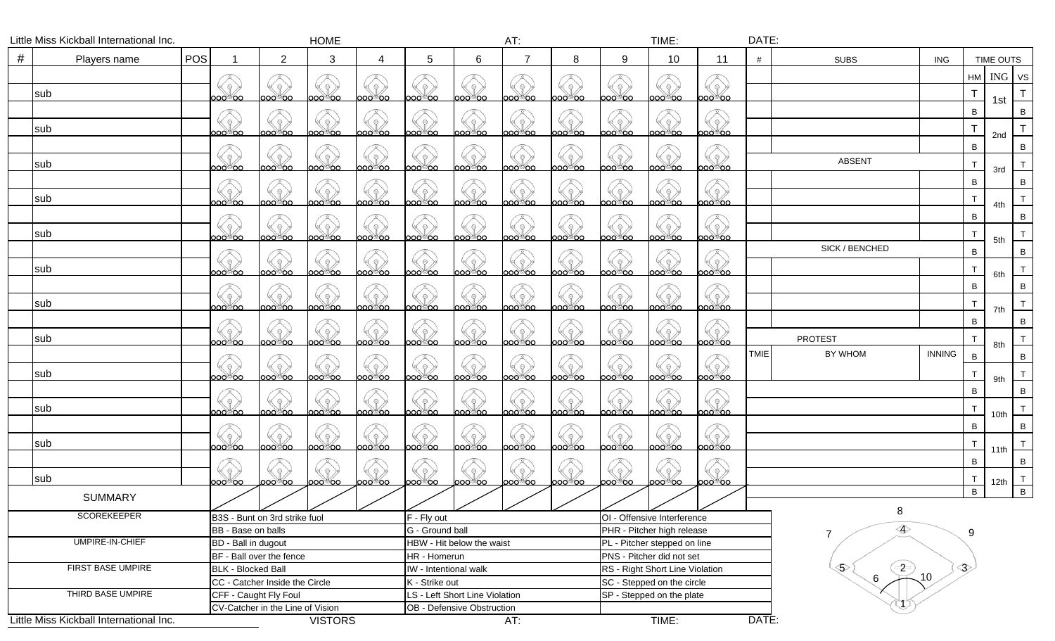|                          | Little Miss Kickball International Inc. |            |                                |                                    | <b>HOME</b>     |                                                                                                                     |                           |                                | AT:     |                                 |                                                            | TIME:         |                 | DATE:                  |                   |               |              |                  |                |
|--------------------------|-----------------------------------------|------------|--------------------------------|------------------------------------|-----------------|---------------------------------------------------------------------------------------------------------------------|---------------------------|--------------------------------|---------|---------------------------------|------------------------------------------------------------|---------------|-----------------|------------------------|-------------------|---------------|--------------|------------------|----------------|
| #                        | Players name                            | <b>POS</b> |                                | $\overline{2}$                     | 3               | 4                                                                                                                   | 5                         | 6                              |         | 8                               | 9                                                          | 10            | 11              | #                      | <b>SUBS</b>       | <b>ING</b>    |              | <b>TIME OUTS</b> |                |
|                          |                                         |            |                                |                                    |                 |                                                                                                                     |                           |                                |         |                                 |                                                            |               |                 |                        |                   |               |              | HM ING VS        |                |
|                          |                                         |            |                                | $\Theta$ )                         | $\Theta$        | $\Theta$ )                                                                                                          |                           |                                |         |                                 |                                                            |               |                 |                        |                   |               |              |                  |                |
|                          | sub                                     |            | ററ⊚്ററ                         | ാറ©ററ                              | ററാ്ററ          | ഠാര്്റാ                                                                                                             | റാ©്ററ                    | ೧೦೮೦೦                          | ററാ്ററ  | ററാ്ററ                          | ററാ്ററ                                                     | ററാ്റ         | ററാ്റ           |                        |                   |               | Т            | 1st              |                |
|                          |                                         |            |                                |                                    |                 |                                                                                                                     |                           |                                |         |                                 |                                                            |               |                 |                        |                   |               | $\, {\bf B}$ |                  | B              |
|                          | sub                                     |            | $\Theta$<br>ാഠായ്റ്ററ          | $( \, \circ \,)$<br>൦൦൦ഁ൦൦         | -92<br>oo©്oo   | $\left\langle \left\langle \varphi\right\rangle \right\rangle$<br><b>ാറ</b> ്റ്റ                                    | 92<br>looo®oo             | ೲಁೲ                            | ാറ⊚്ററ  | $\ominus$<br>ാറാ്ററ             | ററാ്ററ                                                     | ാററ്്ററ       | oo് oo          |                        |                   |               |              |                  |                |
|                          |                                         |            |                                |                                    |                 |                                                                                                                     |                           |                                |         |                                 |                                                            |               |                 |                        |                   |               | B            | 2nd              | B              |
|                          |                                         |            |                                | $\Theta$ )                         | $\Theta$        | $\Theta$ )                                                                                                          |                           |                                |         |                                 |                                                            |               |                 |                        | <b>ABSENT</b>     |               |              |                  |                |
|                          | sub                                     |            | ററ∂്ററ                         | ാറാ് ററ                            | ooo®oo          | ೦೦ಿಂ                                                                                                                | looo®oo                   | looo്്ററ                       | ೧೦೦ಿ೦೦  | <u>ററാത</u> ്ന                  | looo®oo                                                    | ю∞്⊙∩         | looo oo         |                        |                   |               | T            | 3rd              |                |
|                          |                                         |            |                                |                                    |                 |                                                                                                                     |                           |                                |         |                                 |                                                            |               |                 |                        |                   |               | $\, {\bf B}$ |                  | B              |
|                          | sub                                     |            | ാഠ©്ററ                         | (१)<br>൦൦ഁ൦൦                       | 92<br>ooo®oo    | $\langle \hspace{-0.2em} \langle \hspace{-0.2em} \langle \hspace{-0.2em} \rangle \hspace{-0.2em} \rangle$<br>000000 | ≤?<br> ೦೦೦™೦೦             | ാറ©റെ                          | ೲಁೲ     | . 유 )<br>ാറ©ാറ                  | $\Theta$<br>ാറാ്ററ                                         | <b>ാറ</b> ്റാ | ാഠാര് ഗ         |                        |                   |               | T            |                  |                |
|                          |                                         |            |                                |                                    |                 |                                                                                                                     |                           |                                |         |                                 |                                                            |               |                 |                        |                   |               |              | 4th              |                |
|                          |                                         |            |                                |                                    |                 |                                                                                                                     |                           |                                |         |                                 |                                                            |               |                 |                        |                   |               | $\, {\bf B}$ |                  | B              |
|                          | sub                                     |            | ഠറ©്ററ                         | ാറ©ാറ                              | oo്®oo          | ററാ്ററ                                                                                                              | looo®oo                   | ಂಂಿಂ                           | loooීoo | ാഠ©്ഠാ                          | ∣ററഠ്©ററ                                                   | ೦೦ಿಿ೦೦        | ೦೦ಿಂ            |                        |                   |               | $\mathsf{T}$ | 5th              |                |
|                          |                                         |            |                                |                                    |                 |                                                                                                                     |                           |                                |         |                                 |                                                            |               |                 |                        | SICK / BENCHED    |               | $\, {\bf B}$ |                  | B              |
|                          | sub                                     |            | $\Theta$ )                     | $\left(\sqrt{9}\right)$            | 92              | $\left( \left( \nabla \mathbf{r} \right) \right)$                                                                   | (1)                       |                                |         | $\Theta$                        | $\Theta$                                                   | $\Theta$ )    | $\Theta$ )      |                        |                   |               | T            |                  |                |
|                          |                                         |            | ാറാ്ററ                         | ാറ⊚ററ                              | ററാ്ററ          | ഠഠഠ⊚്ററ                                                                                                             | ററ⊚്ററ                    | ാറ⊚്ററ                         | ാറ⊚ററ   | ാറ©ാറ                           | ററാ്ററ                                                     | ാററ്®ററ       | ാറാ്ററ          |                        |                   |               |              | 6th              |                |
|                          |                                         |            |                                | $\rightarrow$                      |                 | (ဓ)                                                                                                                 | $\Theta$ )                |                                |         | $\Theta$                        |                                                            |               |                 |                        |                   |               | $\, {\bf B}$ |                  | $\, {\bf B}$   |
|                          | sub                                     |            | ററ⊚്ററ                         | ാഠാ്ഠറ                             | ററാ്ററ          | ю∞്⊙∩                                                                                                               | ററ⊚്ററ                    | ാറാ്ററ                         | ററാ്ററ  | ററ⊚്ററ                          | ററാ്ററ                                                     | ററ⊚്ററ        | ററാ്ററ          |                        |                   |               | T            | 7th              |                |
|                          |                                         |            |                                |                                    |                 |                                                                                                                     |                           |                                |         |                                 |                                                            |               |                 |                        |                   |               | $\, {\bf B}$ |                  | $\, {\bf B}$   |
|                          | sub                                     |            | $\Theta$ .                     | $( \, \circ \,)$                   | (9)             | $(\mathbb{Q})$                                                                                                      | $(\mathbb{Q})^d$          | Q                              |         | $\mathbb{R}$                    | (e)                                                        | $\Theta$ )    |                 |                        | <b>PROTEST</b>    |               |              |                  |                |
|                          |                                         |            | ാറര്©ററ                        | ാഠഠ©ഠറ                             | ററാ്ററ          | ൦൦൦൦ഁ൦൨                                                                                                             | ററ⊚്ററ                    | ാറ∂്ററ                         | ാറ⊚ററ   | ാറാ്ററ                          | ാറാ്ററ                                                     | ാററ്്ററ       | ാററ്്ററ         | <b>TMIE</b>            | BY WHOM           |               |              | 8th              |                |
|                          |                                         |            |                                |                                    |                 | $Q$ )                                                                                                               |                           |                                |         |                                 |                                                            |               |                 |                        |                   | <b>INNING</b> | $\, {\bf B}$ |                  | $\mathsf{B}$   |
|                          | sub                                     |            | ഠഠ©്ഠഠ                         | ാഠ©്ഠഠ                             | ഠഠ©്ഠഠ          | ററാ്ററ                                                                                                              | looo®oo                   | ೦೦ಿ ೦೦                         | ററാ്ററ  | ാറാ്ററ                          | ೦೦೦ಿ ೦೦                                                    | ററാ്ററ        | ooo®oo          |                        |                   |               | T            | 9th              |                |
|                          |                                         |            |                                |                                    |                 |                                                                                                                     |                           |                                |         |                                 |                                                            |               |                 |                        |                   |               | $\, {\bf B}$ |                  | B              |
|                          |                                         |            | $\Theta$                       |                                    |                 | $\Theta$ )                                                                                                          |                           |                                |         |                                 |                                                            |               |                 |                        |                   |               |              |                  |                |
|                          | sub                                     |            | ుంలిఠం                         | <u> ၁၀၀ိဳ၀၀</u>                    | ൦൦൦ഁ൦൦          | ൦൦൦ഁ൦൦                                                                                                              | looo®oo                   | ೦೦ಿ ೦೦                         | ഠഠ©്ഠഠ  | ൦൦൦ഁ൦൦                          | ററാ്ററ                                                     | ററാ്ററ        | looo®oo         |                        |                   |               | $\top$       | 10th             |                |
|                          |                                         |            |                                |                                    |                 |                                                                                                                     |                           |                                |         |                                 |                                                            |               |                 |                        |                   |               | $\, {\bf B}$ |                  | B              |
|                          | sub                                     |            | $\Theta$<br>ooo®oo             | ( ? )<br><u>ుంలి రం</u>            | . ? )<br>ooo®oo | $\left\langle \left\langle \cdot\right\rangle \right\rangle$<br>oo©്oo                                              | 92<br>000 00              | ാഠ <sup>്ത്</sup> ഠെ           | ററാ്ററ  | $\Theta$<br>ാഠാത്രവ             | ₽<br>ooo®oo                                                | ററാ്ററ        | $R \n$<br>೦೦ಿ೦೦ |                        |                   |               |              |                  |                |
|                          |                                         |            |                                |                                    |                 |                                                                                                                     |                           |                                |         |                                 |                                                            |               |                 |                        |                   |               | $\, {\bf B}$ |                  | $\mathsf{B}$   |
|                          |                                         |            | $\Theta$                       | ◈                                  | íę,             | (e)                                                                                                                 | $\Theta$ .                |                                |         | $\Theta$ .                      | $\ominus$                                                  | $\Theta$ )    |                 |                        |                   |               |              |                  |                |
|                          | sub                                     |            | ೦೦೦ಿ೦೦                         | ാഠായാ                              | ററാ്ററ          | രായ്മാ                                                                                                              | looo®oo                   | ೦೦ಿ ೦೦                         | looo™oo | ാഠായ്റ്ററ                       | ಂಂಿಂ                                                       | ೦೦ಿ©೦೦        | looo®oo         |                        |                   |               | B            | 12th             | $\overline{B}$ |
|                          | <b>SUMMARY</b>                          |            |                                |                                    |                 |                                                                                                                     |                           |                                |         |                                 |                                                            |               |                 |                        |                   |               |              |                  |                |
|                          | <b>SCOREKEEPER</b>                      |            |                                | ╱<br>B3S - Bunt on 3rd strike fuol | ー/              | ✓                                                                                                                   | F - Fly out               |                                | └╱      | $\sim$                          | OI - Offensive Interference                                | $\sim$        |                 |                        | 8                 |               |              |                  |                |
|                          |                                         |            | BB - Base on balls             |                                    |                 |                                                                                                                     | G - Ground ball           |                                |         |                                 |                                                            |               |                 |                        | $\Leftrightarrow$ |               | 9            |                  |                |
|                          | UMPIRE-IN-CHIEF                         |            | BD - Ball in dugout            |                                    |                 |                                                                                                                     | HBW - Hit below the waist |                                |         |                                 | PHR - Pitcher high release<br>PL - Pitcher stepped on line |               |                 |                        | $\overline{7}$    |               |              |                  |                |
|                          |                                         |            | BF - Ball over the fence       |                                    |                 |                                                                                                                     | HR - Homerun              |                                |         | PNS - Pitcher did not set       |                                                            |               |                 |                        |                   |               |              |                  |                |
| <b>FIRST BASE UMPIRE</b> |                                         |            | <b>BLK - Blocked Ball</b>      |                                    |                 |                                                                                                                     | IW - Intentional walk     |                                |         | RS - Right Short Line Violation |                                                            |               |                 | $\left( 2\right)$<br>ᢒ |                   | ◇             |              |                  |                |
|                          |                                         |            | CC - Catcher Inside the Circle |                                    |                 |                                                                                                                     | K - Strike out            |                                |         | SC - Stepped on the circle      |                                                            |               |                 | $6 \,$                 | $\sqrt{10}$       |               |              |                  |                |
| THIRD BASE UMPIRE        |                                         |            | CFF - Caught Fly Foul          |                                    |                 |                                                                                                                     |                           | LS - Left Short Line Violation |         |                                 | SP - Stepped on the plate                                  |               |                 |                        |                   |               |              |                  |                |
|                          |                                         |            |                                | CV-Catcher in the Line of Vision   |                 |                                                                                                                     |                           | OB - Defensive Obstruction     |         |                                 |                                                            |               |                 |                        |                   |               |              |                  |                |
|                          | Little Miss Kickball International Inc. |            |                                |                                    | <b>VISTORS</b>  |                                                                                                                     |                           |                                | AT:     |                                 |                                                            | TIME:         |                 | DATE:                  |                   |               |              |                  |                |